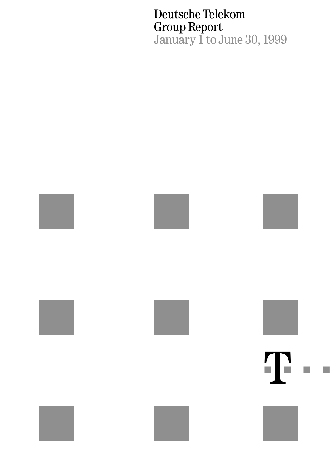Deutsche Telekom Group Report January 1 to June 30, 1999

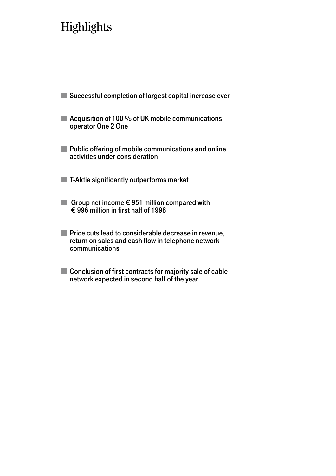# **Highlights**

- Successful completion of largest capital increase ever
- Acquisition of 100 % of UK mobile communications operator One 2 One
- **Public offering of mobile communications and online** activities under consideration
- **T-Aktie significantly outperforms market**
- Group net income  $\epsilon$  951 million compared with  $\epsilon$  996 million in first half of 1998
- **Price cuts lead to considerable decrease in revenue,** return on sales and cash flow in telephone network communications
- Conclusion of first contracts for majority sale of cable network expected in second half of the year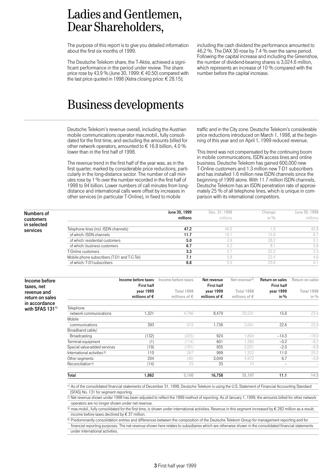### Ladies and Gentlemen, Dear Shareholders,

The purpose of this report is to give you detailed information about the first six months of 1999.

The Deutsche Telekom share, the T-Aktie, achieved a significant performance in the period under review. The share price rose by 43.9 % (June 30, 1999:  $\in$  40.50) compared with the last price quoted in 1998 (Xetra closing price: € 28.15);

46.2 %. The DAX 30 rose by 7.4 % over the same period. Following the capital increase and including the Greenshoe, the number of dividend-bearing shares is 3,024.6 million, which represents an increase of 10 % compared with the number before the capital increase.

including the cash dividend the performance amounted to

### Business developments

Deutsche Telekom's revenue overall, including the Austrian mobile communications operator max.mobil., fully consolidated for the first time, and excluding the amounts billed for other network operators, amounted to € 16.8 billion, 4.0 % lower than in the first half of 1998.

The revenue trend in the first half of the year was, as in the first quarter, marked by considerable price reductions, particularly in the long-distance sector. The number of call minutes rose by 1 % over the number recorded in the first half of 1998 to 94 billion. Lower numbers of call minutes from longdistance and international calls were offset by increases in other services (in particular T-Online), in fixed to mobile

traffic and in the City zone. Deutsche Telekom's considerable price reductions introduced on March 1, 1998, at the beginning of this year and on April 1, 1999 reduced revenue.

This trend was not compensated by the continuing boom in mobile communications, ISDN access lines and online business. Deutsche Telekom has gained 600,000 new T-Online customers and 1.3 million new T-D1 subscribers and has installed 1.6 million new ISDN channels since the beginning of 1999 alone. With 11.7 million ISDN channels, Deutsche Telekom has an ISDN penetration rate of approximately 25 % of all telephone lines, which is unique in comparison with its international competitors.

| Numbers of              |                                             | June 30, 1999 | Dec. 31, 1998 | Change  | June 30, 1998 |
|-------------------------|---------------------------------------------|---------------|---------------|---------|---------------|
| customers               |                                             | millions      | millions      | in $\%$ | millions      |
| in selected<br>services | Telephone lines (incl. ISDN channels)       | 47.2          | 46.5          |         | 45.8          |
|                         | of which: ISDN channels                     | 11.7          | 10.7          | 15.8    | 8.7           |
|                         | of which: residential customers             | 5.0           | 3.9           | 28.2    | 3.1           |
|                         | of which: business customers                | 6.7           | 6.2           |         | 5.6           |
|                         | T-Online customers                          | 3.3           | 2.7           | 22.2    | 2.3           |
|                         | Mobile phone subscribers (T-D1 and T-C-Tel) | 7.1           | 5.8           | 22.4    | 4.6           |
|                         | of which: T-D1 subscribers                  | 6.8           | 5.5           | 23.6    | 4.1           |

|                     |                                        | Income before taxes    | Income before taxes    | Net revenue            | Net revenue <sup>2)</sup> | <b>Return on sales</b>   | Return on sales |
|---------------------|----------------------------------------|------------------------|------------------------|------------------------|---------------------------|--------------------------|-----------------|
| Income before       |                                        | <b>First half</b>      |                        | <b>First half</b>      |                           | <b>First half</b>        |                 |
| taxes, net          |                                        |                        |                        |                        |                           |                          |                 |
| revenue and         |                                        | vear 1999              | Total 1998             | vear 1999              | Total 1998                | vear 1999                | Total 1998      |
| return on sales     |                                        | millions of $\epsilon$ | millions of $\epsilon$ | millions of $\epsilon$ | millions of $\epsilon$    | in $%$                   | in $\%$         |
| in accordance       |                                        |                        |                        |                        |                           |                          |                 |
| with SFAS $131^{1}$ | Telephone                              |                        |                        |                        |                           |                          |                 |
|                     | network communications                 | 1,321                  | 4,796                  | 8,479                  | 20,531                    | 15.6                     | 23.4            |
|                     | Mobile                                 |                        |                        |                        |                           |                          |                 |
|                     | communications                         | 393                    | 672                    | 1,736                  | 3,061                     | 22.6                     | 22.0            |
|                     | Broadband cable/                       |                        |                        |                        |                           |                          |                 |
|                     | Broadcasting                           | (132)                  | (325)                  | 924                    | 804.                      | $-14.3$                  | $-18.0$         |
|                     | Terminal equipment                     | (1)                    | (114)                  | 601                    | 1,382                     | $-0.2$                   | $-8.2$          |
|                     | Special value-added services           | (19)                   | (181)                  | 935                    | 2,051                     | $-2.0$                   | $-8.8$          |
|                     | International activities <sup>3)</sup> | 110                    | 267                    | 999                    | 1,322                     | 11.0                     | 20.2            |
|                     | Other segments                         | 204                    | (40)                   | 3,049                  | 4,972                     | 6.7                      | $-0.8$          |
|                     | Reconciliation <sup>4)</sup>           | (14)                   | 25                     | 35                     | 74                        | $\overline{\phantom{a}}$ |                 |
|                     | Total                                  | 1,862                  | 5,100                  | 16,758                 | 35,197                    | 11.1                     | 14.5            |

1) As of the consolidated financial statements of December 31, 1998, Deutsche Telekom is using the U.S. Statement of Financial Accounting Standard (SFAS) No. 131 for segment reporting.

2) Net revenue shown under 1998 has been adjusted to reflect the 1999 method of reporting. As of January 1, 1999, the amounts billed for other network operators are no longer shown under net revenue.

3) max.mobil., fully consolidated for the first time, is shown under international activities. Revenue in this segment increased by  $\epsilon$  282 million as a result; income before taxes declined by € 37 million.

4) Predominantly consolidation entries and differences between the composition of the Deutsche Telekom Group for management reporting and for

financial reporting purposes. The net revenue shown here relates to subsidiaries which are otherwise shown in the consolidated financial statements under international activities.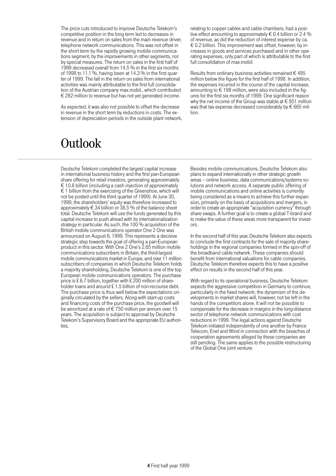The price cuts introduced to improve Deutsche Telekom's competitive position in the long term led to decreases in revenue and in return on sales from the main revenue driver, telephone network communications. This was not offset in the short term by the rapidly growing mobile communications segment, by the improvements in other segments, nor by special measures. The return on sales in the first half of 1999 decreased overall from 14.5 % in the first six months of 1998 to 11.1 %, having been at 14.3 % in the first quarter of 1999. The fall in the return on sales from international activities was mainly attributable to the first full consolidation of the Austrian company max.mobil., which contributed € 282 million to revenue but has not yet generated income.

As expected, it was also not possible to offset the decrease in revenue in the short term by reductions in costs. The extension of depreciation periods in the outside plant network, relating to copper cables and cable chambers, had a positive effect amounting to approximately  $\epsilon$  0.4 billion or 2.4 % of revenue, as did the reduction of interest expense by ca.  $\epsilon$  0.2 billion. This improvement was offset, however, by increases in goods and services purchased and in other operating expenses, only part of which is attributable to the first full consolidation of max mobil.

Results from ordinary business activities remained  $\epsilon$  495 million below the figure for the first half of 1998. In addition, the expenses incurred in the course of the capital increase, amounting to  $\epsilon$  198 million, were also included in the figures for the first six months of 1999. One significant reason why the net income of the Group was stable at  $\epsilon$  951 million was that tax expense decreased considerably by  $\epsilon$  665 million.

## **Outlook**

Deutsche Telekom completed the largest capital increase in international business history and the first pan-European share offering for retail investors, generating approximately  $\epsilon$  10.6 billion (including a cash injection of approximately  $\epsilon$  1 billion from the exercising of the Greenshoe, which will not be posted until the third quarter of 1999). At June 30, 1999, the shareholders' equity was therefore increased to approximately  $\epsilon$  34 billion or 38.5 % of the balance sheet total. Deutsche Telekom will use the funds generated by this capital increase to push ahead with its internationalization strategy in particular. As such, the 100 % acquisition of the British mobile communications operator One 2 One was announced on August 6, 1999. This represents a decisive strategic step towards the goal of offering a pan-European product in this sector. With One 2 One's 2.65 million mobile communications subscribers in Britain, the third-largest mobile communications market in Europe, and over 11 million subscribers of companies in which Deutsche Telekom holds a majority shareholding, Deutsche Telekom is one of the top European mobile communications operators. The purchase price is £ 6.7 billion, together with £ 200 million of shareholder loans and around £1.5 billion of non-recourse debt. The purchase price is thus well below the expectations originally circulated by the sellers. Along with start-up costs and financing costs of the purchase price, the goodwill will be amortized at a rate of € 750 million per annum over 15 years. The acquisition is subject to approval by Deutsche Telekom's Supervisory Board and the appropriate EU authorities

Besides mobile communications, Deutsche Telekom also plans to expand internationally in other strategic growth areas – online business, data communications/systems solutions and network access. A separate public offering of mobile communications and online activities is currently being considered as a means to achieve this further expansion, primarily on the basis of acquisitions and mergers, in order to create an appropriate "acquisition currency" through share swaps. A further goal is to create a global T-brand and to make the value of these areas more transparent for investors.

In the second half of this year, Deutsche Telekom also expects to conclude the first contracts for the sale of majority shareholdings in the regional companies formed in the spin-off of the broadband cable network. These companies should benefit from international valuations for cable companies. Deutsche Telekom therefore expects this to have a positive effect on results in the second half of this year.

With regard to its operational business, Deutsche Telekom expects the aggressive competition in Germany to continue, particularly in the fixed network; the dynamism of the developments in market shares will, however, not be left in the hands of the competitors alone. It will not be possible to compensate for the decrease in margins in the long-distance sector of telephone network communications with cost reductions in 1999. The legal actions against Deutsche Telekom initiated independently of one another by France Telecom, Enel and Wind in connection with the breaches of cooperation agreements alleged by these companies are still pending. The same applies to the possible restructuring of the Global One joint venture.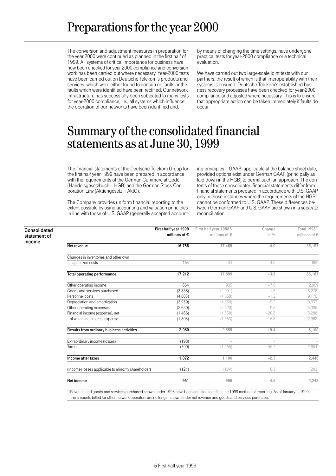# Preparations for the year 2000

The conversion and adjustment measures in preparation for the year 2000 were continued as planned in the first half of 1999. All systems of critical importance for business have now been checked for year-2000 compliance and conversion work has been carried out where necessary. Year-2000 tests have been carried out on Deutsche Telekom's products and services, which were either found to contain no faults or the faults which were identified have been rectified. Our network infrastructure has successfully been subjected to many tests for year-2000 compliance, i.e., all systems which influence the operation of our networks have been identified and,

by means of changing the time settings, have undergone practical tests for year-2000 compliance or a technical evaluation.

We have carried out two large-scale joint tests with our partners, the result of which is that interoperability with their systems is ensured. Deutsche Telekom's established business recovery processes have been checked for year-2000 compliance and adjusted where necessary. This is to ensure that appropriate action can be taken immediately if faults do occur.

### Summary of the consolidated financial statements as at June 30, 1999

The financial statements of the Deutsche Telekom Group for the first half year 1999 have been prepared in accordance with the requirements of the German Commercial Code (Handelsgesetzbuch – HGB) and the German Stock Corporation Law (Aktiengesetz – AktG).

The Company provides uniform financial reporting to the extent possible by using accounting and valuation principles in line with those of U.S. GAAP (generally accepted accounting principles – GAAP) applicable at the balance sheet date, provided options exist under German GAAP (principally as laid down in the HGB) to permit such an approach. The contents of these consolidated financial statements differ from financial statements prepared in accordance with U.S. GAAP only in those instances where the requirements of the HGB cannot be conformed to U.S. GAAP. These differences between German GAAP and U.S. GAAP are shown in a separate reconciliation.

|                                                     | First half year 1999   | First half year 1998 <sup>1)</sup> | Change                   | Total 1998 <sup>1)</sup> |
|-----------------------------------------------------|------------------------|------------------------------------|--------------------------|--------------------------|
|                                                     | millions of $\epsilon$ | millions of $\epsilon$             | in $\%$                  | millions of €            |
| Net revenue                                         | 16,758                 | 17,465                             | $-4.0$                   | 35,197                   |
| Changes in inventories and other own                |                        |                                    |                          |                          |
| capitalized costs                                   | 454                    | 434                                | 4.6                      | 990                      |
| <b>Total operating performance</b>                  | 17,212                 | 17.899                             | $-3.8$                   | 36,187                   |
| Other operating income                              | 864                    | 935                                | $-7.6$                   | 2,069                    |
| Goods and services purchased                        | (3, 338)               | (2,991)                            | 11.6                     | (6, 276)                 |
| Personnel costs                                     | (4,603)                | (4,658)                            | $-1.2$                   | (9, 170)                 |
| Depreciation and amortization                       | (3,959)                | (4,360)                            | $-9.2$                   | (9,037)                  |
| Other operating expenses                            | (2,650)                | (2,420)                            | 9.5                      | (5, 385)                 |
| Financial income (expense), net                     | (1, 466)               | (1,850)                            | $-20.8$                  | (3,288)                  |
| of which: net interest expense                      | (1,308)                | (1, 553)                           | $-15.8$                  | (2,962)                  |
| Results from ordinary business activities           | 2,060                  | 2,555                              | $-19.4$                  | 5,100                    |
| Extraordinary income (losses)                       | (198)                  | $\overline{\phantom{a}}$           | $\overline{\phantom{a}}$ |                          |
| Taxes                                               | (790)                  | (1, 455)                           | $-45.7$                  | (2,654)                  |
| Income after taxes                                  | 1,072                  | 1,100                              | $-2.5$                   | 2,446                    |
| (Income) losses applicable to minority shareholders | (121)                  | (104)                              | 16.3                     | (203)                    |
| Net income                                          | 951                    | 996                                | $-4.5$                   | 2,243                    |

1) Revenue and goods and services purchased shown under 1998 have been adjusted to reflect the 1999 method of reporting. As of January 1, 1999, the amounts billed for other network operators are no longer shown under net revenue and goods and services purchased.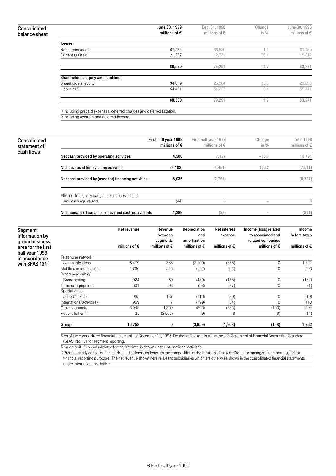| Consolidated  |  |
|---------------|--|
| balance sheet |  |

|                                                                                           | June 30, 1999          | Dec. 31, 1998          | Change  | June 30, 1998          |
|-------------------------------------------------------------------------------------------|------------------------|------------------------|---------|------------------------|
|                                                                                           | millions of $\epsilon$ | millions of $\epsilon$ | in $\%$ | millions of $\epsilon$ |
| Assets                                                                                    |                        |                        |         |                        |
| Noncurrent assets                                                                         | 67,273                 | 66,520                 | 1.1     | 67,459                 |
| Current assets <sup>1)</sup>                                                              | 21,257                 | 12,771                 | 66.4    | 15,812                 |
|                                                                                           |                        | 79,291                 | 11.7    | 83,271                 |
|                                                                                           | 88,530                 |                        |         |                        |
|                                                                                           |                        |                        |         |                        |
|                                                                                           | 34,079                 | 25,064                 | 36.0    | 23,830                 |
| Shareholders' equity and liabilities<br>Shareholders' equity<br>Liabilities <sup>2)</sup> | 54,451                 | 54.227                 | 0.4     | 59.441                 |

2) Including accruals and deferred income.

|                                                      |                        | First half year 1998   | Change                   | Total 1998             |
|------------------------------------------------------|------------------------|------------------------|--------------------------|------------------------|
|                                                      | millions of $\epsilon$ | millions of $\epsilon$ | in $\%$                  | millions of $\epsilon$ |
| Net cash provided by operating activities            | 4,580                  | 7,127                  | $-35.7$                  | 13,491                 |
| Net cash used for investing activities               | (9, 182)               | (4, 454)               | 106.2                    | (7, 511)               |
| Net cash provided by (used for) financing activities | 6,035                  | (2, 755)               |                          | (6, 797)               |
| Effect of foreign exchange rate changes on cash      |                        |                        |                          |                        |
| and cash equivalents                                 | (44)                   | U                      | -                        | 6                      |
| Net increase (decrease) in cash and cash equivalents | 389, ا                 | (82)                   | $\overline{\phantom{a}}$ | (811)                  |
|                                                      |                        | First half year 1999   |                          |                        |

Segment information by group business area for the first half year 1999 in accordance with SFAS 131<sup>1)</sup>

|                                        | Net revenue            | Revenue                | Depreciation           | Net interest           | Income (loss) related  | Income                 |
|----------------------------------------|------------------------|------------------------|------------------------|------------------------|------------------------|------------------------|
|                                        |                        | between                | and                    | expense                | to associated and      | before taxes           |
|                                        |                        | segments               | amortization           |                        | related companies      |                        |
|                                        | millions of $\epsilon$ | millions of $\epsilon$ | millions of $\epsilon$ | millions of $\epsilon$ | millions of $\epsilon$ | millions of $\epsilon$ |
| Telephone network                      |                        |                        |                        |                        |                        |                        |
| communications                         | 8,479                  | 358                    | (2,109)                | (585)                  | $\mathbf 0$            | 1,321                  |
| Mobile communications                  | 1,736                  | 516                    | (192)                  | (82)                   | 0                      | 393                    |
| Broadband cable/                       |                        |                        |                        |                        |                        |                        |
| Broadcasting                           | 924                    | 80                     | (439)                  | (185)                  | $\mathbf 0$            | (132)                  |
| Terminal equipment                     | 601                    | 98                     | (98)                   | (27)                   | $\mathbf 0$            | (1)                    |
| Special value-                         |                        |                        |                        |                        |                        |                        |
| added services                         | 935                    | 137                    | (110)                  | (30)                   | 0                      | (19)                   |
| International activities <sup>2)</sup> | 999                    |                        | (199)                  | (84)                   | $\Omega$               | 110                    |
| Other segments                         | 3,049                  | .369                   | (803)                  | (323)                  | (150)                  | 204                    |
| Reconciliation <sup>3)</sup>           | 35                     | (2,565)                | (9)                    | 8                      | (8)                    | (14)                   |
| Group                                  | 16,758                 | 0                      | (3,959)                | (1, 308)               | (158)                  | 1,862                  |

1) As of the consolidated financial statements of December 31, 1998, Deutsche Telekom is using the U.S. Statement of Financial Accounting Standard (SFAS) No.131 for segment reporting.

<sup>2</sup>) max.mobil., fully consolidated for the first time, is shown under international activities.

3) Predominantly consolidation entries and differences between the composition of the Deutsche Telekom Group for management reporting and for financial reporting purposes. The net revenue shown here relates to subsidiaries which are otherwise shown in the consolidated financial statements under international activities.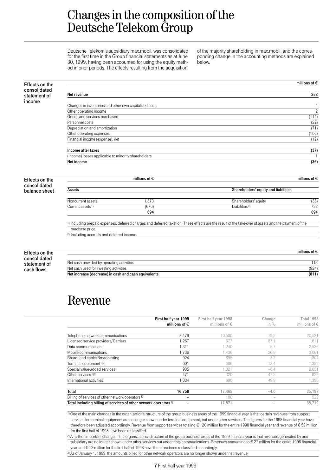### Changes in the composition of the Deutsche Telekom Group

Deutsche Telekom's subsidiary max.mobil. was consolidated for the first time in the Group financial statements as at June 30, 1999, having been accounted for using the equity method in prior periods. The effects resulting from the acquisition

of the majority shareholding in max.mobil. and the corresponding change in the accounting methods are explained below.

| <b>Effects on the</b>        |                                                        |                        |                                                                                                                                                                  | millions of $\epsilon$ |
|------------------------------|--------------------------------------------------------|------------------------|------------------------------------------------------------------------------------------------------------------------------------------------------------------|------------------------|
| consolidated<br>statement of | Net revenue                                            |                        |                                                                                                                                                                  | 282                    |
| income                       |                                                        |                        |                                                                                                                                                                  |                        |
|                              | Changes in inventories and other own capitalized costs |                        |                                                                                                                                                                  | 4                      |
|                              | Other operating income                                 |                        |                                                                                                                                                                  | $\overline{c}$         |
|                              | Goods and services purchased                           |                        |                                                                                                                                                                  | (114)                  |
|                              | Personnel costs                                        |                        |                                                                                                                                                                  | (22)                   |
|                              | Depreciation and amortization                          |                        |                                                                                                                                                                  | (71)                   |
|                              | Other operating expenses                               |                        |                                                                                                                                                                  | (106)                  |
|                              | Financial income (expense), net                        |                        |                                                                                                                                                                  | (12)                   |
|                              | Income after taxes                                     |                        |                                                                                                                                                                  | (37)                   |
|                              | (Income) losses applicable to minority shareholders    |                        |                                                                                                                                                                  |                        |
|                              | Net income                                             |                        |                                                                                                                                                                  | (36)                   |
| <b>Effects on the</b>        |                                                        | millions of $\epsilon$ |                                                                                                                                                                  | millions of $\epsilon$ |
| consolidated                 | Assets                                                 |                        | Shareholders' equity and liabilities                                                                                                                             |                        |
| balance sheet                |                                                        |                        |                                                                                                                                                                  |                        |
|                              | Noncurrent assets                                      | 1,370                  | Shareholders' equity                                                                                                                                             | (38)                   |
|                              | Current assets <sup>1)</sup>                           | (676)                  | Liabilities <sup>2)</sup>                                                                                                                                        | 732                    |
|                              |                                                        | 694                    |                                                                                                                                                                  | 694                    |
|                              |                                                        |                        | <sup>1)</sup> Including prepaid expenses, deferred charges and deferred taxation. These effects are the result of the take-over of assets and the payment of the |                        |
|                              | purchase price.                                        |                        |                                                                                                                                                                  |                        |
|                              | <sup>2)</sup> Including accruals and deferred income.  |                        |                                                                                                                                                                  |                        |
|                              |                                                        |                        |                                                                                                                                                                  |                        |
| <b>Effects on the</b>        |                                                        |                        |                                                                                                                                                                  | millions of $\epsilon$ |
| consolidated                 |                                                        |                        |                                                                                                                                                                  |                        |
| statement of                 | Net cash provided by operating activities              |                        |                                                                                                                                                                  | 113                    |
| cash flows                   | Net cash used for investing activities                 |                        |                                                                                                                                                                  | (924)                  |
|                              | Net increase (decrease) in cash and cash equivalents   |                        |                                                                                                                                                                  | (811)                  |

# Revenue

|                                                                              | First half year 1999   | First half year 1998   | Change                   | Total 1998             |
|------------------------------------------------------------------------------|------------------------|------------------------|--------------------------|------------------------|
|                                                                              | millions of $\epsilon$ | millions of $\epsilon$ | in $\%$                  | millions of $\epsilon$ |
|                                                                              |                        |                        |                          |                        |
| Telephone network communications                                             | 8,479                  | 10.500                 | $-19.2$                  | 20,531                 |
| Licensed service providers/Carriers                                          | 1,267                  | 677                    | 87.1                     | 1,611                  |
| Data communications                                                          | 1,311                  | ,240                   | 5.7                      | 2,536                  |
| Mobile communications                                                        | 1,736                  | 1.436                  | 20.9                     | 3,061                  |
| Broadband cable/Broadcasting                                                 | 924                    | 895                    | 3.2                      | 1,804                  |
| Terminal equipment <sup>1)2)</sup>                                           | 601                    | 686                    | $-12.4$                  | 1,382                  |
| Special value-added services                                                 | 935                    | 021, ا                 | $-8.4$                   | 2,051                  |
| Other services <sup>1)2)</sup>                                               | 471                    | 320                    | 47.2                     | 825                    |
| International activities                                                     | 1,034                  | 690                    | 49.9                     | 1.396                  |
| Total                                                                        | 16,758                 | 17.465                 | $-4.0$                   | 35,197                 |
| Billing of services of other network operators <sup>3)</sup>                 | -                      | 106                    | $\overline{\phantom{a}}$ | 522                    |
| Total including billing of services of other network operators <sup>3)</sup> |                        | 17.571                 | $\sim$                   | 35.719                 |

1) One of the main changes in the organizational structure of the group business areas of the 1999 financial year is that certain revenues from support

services for terminal equipment are no longer shown under terminal equipment, but under other services. The figures for the 1998 financial year have therefore been adjusted accordingly. Revenue from support services totaling € 120 million for the entire 1998 financial year and revenue of € 52 million

for the first half of 1998 have been reclassified.

 $\overline{2}$ ) A further important change in the organizational structure of the group business areas of the 1999 financial year is that revenues generated by one subsidiary are no longer shown under other services but under data communications. Revenues amounting to € 27 million for the entire 1998 financial year and € 12 million for the first half of 1998 have therefore been reclassified accordingly.

3) As of January 1, 1999, the amounts billed for other network operators are no longer shown under net revenue.

7 First half year 1999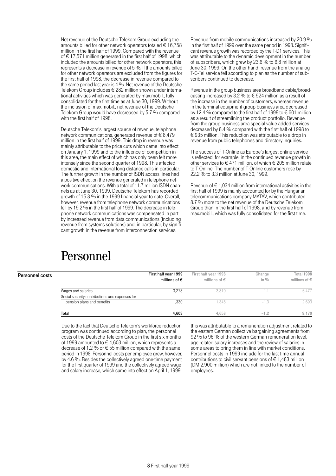Net revenue of the Deutsche Telekom Group excluding the amounts billed for other network operators totaled  $\epsilon$  16,758 million in the first half of 1999. Compared with the revenue of € 17,571 million generated in the first half of 1998, which included the amounts billed for other network operators, this represents a decrease in revenue of 5 %. If the amounts billed for other network operators are excluded from the figures for the first half of 1998, the decrease in revenue compared to the same period last year is 4 %. Net revenue of the Deutsche Telekom Group includes € 282 million shown under international activities which was generated by max.mobil., fully consolidated for the first time as at June 30, 1999. Without the inclusion of max.mobil., net revenue of the Deutsche Telekom Group would have decreased by 5.7 % compared with the first half of 1998.

Deutsche Telekom's largest source of revenue, telephone network communications, generated revenue of € 8,479 million in the first half of 1999. This drop in revenue was mainly attributable to the price cuts which came into effect on January 1, 1999 and to the influence of competition in this area, the main effect of which has only been felt more intensely since the second quarter of 1998. This affected domestic and international long-distance calls in particular. The further growth in the number of ISDN access lines had a positive effect on the revenue generated in telephone network communications. With a total of 11.7 million ISDN channels as at June 30, 1999, Deutsche Telekom has recorded growth of 15.8 % in the 1999 financial year to date. Overall, however, revenue from telephone network communications fell by 19.2 % in the first half of 1999. The decrease in telephone network communications was compensated in part by increased revenue from data communications (including revenue from systems solutions) and, in particular, by significant growth in the revenue from interconnection services.

### Personnel

Personnel cost

Revenue from mobile communications increased by 20.9 % in the first half of 1999 over the same period in 1998. Significant revenue growth was recorded by the T-D1 services. This was attributable to the dynamic development in the number of subscribers, which grew by 23.6 % to 6.8 million at June 30, 1999. On the other hand, revenue from the analog T-C-Tel service fell according to plan as the number of subscribers continued to decrease.

Revenue in the group business area broadband cable/broadcasting increased by 3.2 % to  $\epsilon$  924 million as a result of the increase in the number of customers, whereas revenue in the terminal equipment group business area decreased by 12.4 % compared to the first half of 1998 to € 601 million as a result of streamlining the product portfolio. Revenue from the group business area special value-added services decreased by 8.4 % compared with the first half of 1998 to  $\epsilon$  935 million. This reduction was attributable to a drop in revenue from public telephones and directory inquiries.

The success of T-Online as Europe's largest online service is reflected, for example, in the continued revenue growth in other services to  $\epsilon$  471 million, of which  $\epsilon$  205 million relate to T-Online. The number of T-Online customers rose by 22.2 % to 3.3 million at June 30, 1999.

Revenue of  $\epsilon$  1,034 million from international activities in the first half of 1999 is mainly accounted for by the Hungarian telecommunications company MATÁV, which contributed 8.7 % more to the net revenue of the Deutsche Telekom Group than in the first half of 1998, and by revenue from max.mobil., which was fully consolidated for the first time.

|                                                | First half year 1999<br>millions of $\epsilon$ | First half year 1998<br>millions of $\epsilon$ | Change<br>in $\%$ | Total 1998<br>millions of $\epsilon$ |
|------------------------------------------------|------------------------------------------------|------------------------------------------------|-------------------|--------------------------------------|
| Wages and salaries                             | 3.273                                          | 3.310                                          |                   | 6.477                                |
| Social security contributions and expenses for |                                                |                                                |                   |                                      |
| pension plans and benefits                     | 1.330                                          | 1.348                                          | $-1.3$            | 2.693                                |
| Total                                          | 4.603                                          | 4.658                                          | - 1               | 9.170                                |

Due to the fact that Deutsche Telekom's workforce reduction program was continued according to plan, the personnel costs of the Deutsche Telekom Group in the first six months of 1999 amounted to  $\in$  4,603 million, which represents a decrease of 1.2 % or € 55 million compared with the same period in 1998. Personnel costs per employee grew, however, by 4.6 %. Besides the collectively agreed one-time payment for the first quarter of 1999 and the collectively agreed wage and salary increase, which came into effect on April 1, 1999,

this was attributable to a remuneration adjustment related to the eastern German collective bargaining agreements from 92 % to 96 % of the western German remuneration level, age-related salary increases and the review of salaries in some areas to bring them in line with market conditions. Personnel costs in 1999 include for the last time annual contributions to civil servant pensions of  $\epsilon$  1,483 million (DM 2,900 million) which are not linked to the number of employees.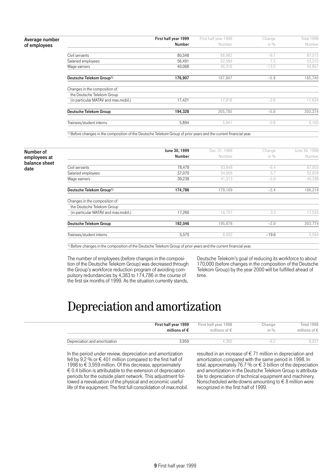Average number of employees

|                                      | First half year 1999 | First half year 1998 | Change  | Total 1998 |
|--------------------------------------|----------------------|----------------------|---------|------------|
|                                      | Number               | Number               | in $%$  | Number     |
|                                      |                      |                      |         |            |
| Civil servants                       | 80,348               | 88,982               | $-9.7$  | 87,573     |
| Salaried employees                   | 56,491               | 52,569               | 7.5     | 53,310     |
| Wage earners                         | 40,068               | 46.316               | $-13.5$ | 44,857     |
| Deutsche Telekom Group <sup>1)</sup> | 176,907              | 187,867              | $-5.8$  | 185,740    |
| Changes in the composition of        |                      |                      |         |            |
| the Deutsche Telekom Group           |                      |                      |         |            |
| (in particular MATÁV and max.mobil.) | 17,421               | 17,918               | $-2.8$  | 17,634     |
| Deutsche Telekom Group               | 194,328              | 205.785              | $-5.6$  | 203.374    |
| Trainees/student interns             | 5,894                | 5,941                | $-0.8$  | 6,165      |

1) Before changes in the composition of the Deutsche Telekom Group of prior years and the current financial year.

Number of employees at balance sheet date

|                                      | June 30, 1999 | Dec. 31, 1998 | Change  | June 30, 1998 |
|--------------------------------------|---------------|---------------|---------|---------------|
|                                      | Number        | Number        | in $%$  | Number        |
| Civil servants                       | 78,478        | 83,848        | $-6.4$  | 87,953        |
| Salaried employees                   | 57,070        | 54,008        | 5.7     | 52,928        |
| Wage earners                         | 39,238        | 41,313        | $-5.0$  | 45,338        |
| Deutsche Telekom Group <sup>1)</sup> | 174,786       | 179,169       | $-2.4$  | 186,219       |
| Changes in the composition of        |               |               |         |               |
| the Deutsche Telekom Group           |               |               |         |               |
| (in particular MATÁV and max.mobil.) | 17,260        | 16,707        | 3.3     | 17,555        |
| Deutsche Telekom Group               | 192,046       | 195,876       | $-2.0$  | 203.774       |
| Trainees/student interns             | 5,570         | 6,932         | $-19.6$ | 5,564         |
|                                      |               |               |         |               |

1) Before changes in the composition of the Deutsche Telekom Group of prior years and the current financial year.

The number of employees (before changes in the composition of the Deutsche Telekom Group) was decreased through the Group's workforce reduction program of avoiding compulsory redundancies by 4,383 to 174,786 in the course of the first six months of 1999. As the situation currently stands,

Deutsche Telekom's goal of reducing its workforce to about 170,000 (before changes in the composition of the Deutsche Telekom Group) by the year 2000 will be fulfilled ahead of time.

## Depreciation and amortization

|                               | First half year 1999   | First half year 1998   | Change           | Total 1998             |
|-------------------------------|------------------------|------------------------|------------------|------------------------|
|                               | millions of $\epsilon$ | millions of $\epsilon$ | in $\frac{0}{0}$ | millions of $\epsilon$ |
| Depreciation and amortization | 3.959                  | 4.360                  | $-9$             | 9.037                  |

In the period under review, depreciation and amortization fell by 9.2 % or € 401 million compared to the first half of 1998 to € 3,959 million. Of this decrease, approximately  $\epsilon$  0.4 billion is attributable to the extension of depreciation periods for the outside plant network. This adjustment followed a reevaluation of the physical and economic useful life of the equipment. The first full consolidation of max.mobil. resulted in an increase of € 71 million in depreciation and amortization compared with the same period in 1998. In total, approximately 76.7 % or  $\epsilon$  3 billion of the depreciation and amortization in the Deutsche Telekom Group is attributable to depreciation of technical equipment and machinery. Nonscheduled write-downs amounting to  $\epsilon$  8 million were recognized in the first half of 1999.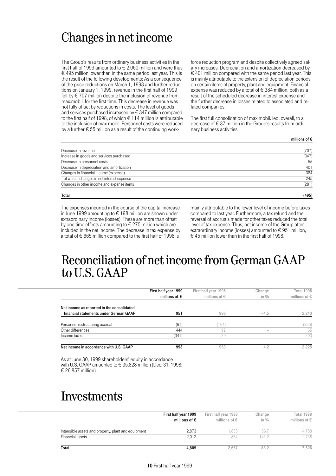### Changes in net income

The Group's results from ordinary business activities in the first half of 1999 amounted to  $\epsilon$  2,060 million and were thus € 495 million lower than in the same period last year. This is the result of the following developments: As a consequence of the price reductions on March 1, 1998 and further reductions on January 1, 1999, revenue in the first half of 1999 fell by € 707 million despite the inclusion of revenue from max.mobil. for the first time. This decrease in revenue was not fully offset by reductions in costs. The level of goods and services purchased increased by € 347 million compared to the first half of 1998, of which  $\epsilon$  114 million is attributable to the inclusion of max.mobil. Personnel costs were reduced by a further  $\epsilon$  55 million as a result of the continuing workforce reduction program and despite collectively agreed salary increases. Depreciation and amortization decreased by  $\epsilon$  401 million compared with the same period last year. This is mainly attributable to the extension of depreciation periods on certain items of property, plant and equipment. Financial expense was reduced by a total of  $\epsilon$  384 million, both as a result of the scheduled decrease in interest expense and the further decrease in losses related to associated and related companies.

The first full consolidation of max.mobil. led, overall, to a decrease of € 37 million in the Group's results from ordinary business activities.

millions of €

| Total                                     | (495) |
|-------------------------------------------|-------|
| Changes in other income and expense items | (281) |
| of which: changes in net interest expense | 245   |
| Changes in financial income (expense)     | 384   |
| Decrease in depreciation and amortization | 401   |
| Decrease in personnel costs               | 55    |
| Increase in goods and services purchased  | (347) |
| Decrease in revenue                       | (707) |

The expenses incurred in the course of the capital increase in June 1999 amounting to € 198 million are shown under extraordinary income (losses). These are more than offset by one-time effects amounting to  $\epsilon$  275 million which are included in the net income. The decrease in tax expense by a total of  $\epsilon$  665 million compared to the first half of 1998 is

mainly attributable to the lower level of income before taxes compared to last year. Furthermore, a tax refund and the reversal of accruals made for other taxes reduced the total level of tax expense. Thus, net income of the Group after extraordinary income (losses) amounted to  $\epsilon$  951 million,  $\epsilon$  45 million lower than in the first half of 1998.

#### Reconciliation of net income from German GAAP to U.S. GAAP

|                                            | First half year 1999<br>millions of $\epsilon$ | First half year 1998<br>millions of $\epsilon$ | Change<br>in $\%$        | Total 1998<br>millions of $\epsilon$ |
|--------------------------------------------|------------------------------------------------|------------------------------------------------|--------------------------|--------------------------------------|
| Net income as reported in the consolidated |                                                |                                                |                          |                                      |
| financial statements under German GAAP     | 951                                            | 996                                            | $-4.5$                   | 2.243                                |
| Personnel restructuring accrual            | (61)                                           | (164)                                          |                          | (286)                                |
| Other differences                          | 444                                            | 92                                             | $\overline{\phantom{a}}$ | 65                                   |
| Income taxes                               | (341)                                          | 29                                             | $\overline{\phantom{a}}$ | 203                                  |
| Net income in accordance with U.S. GAAP    | 993                                            | 953                                            | 4.2                      | 2.225                                |

As at June 30, 1999 shareholders' equity in accordance with U.S. GAAP amounted to € 35,828 million (Dec. 31, 1998: € 26,857 million).

### Investments

|                                                     | First half year 1999<br>millions of $\epsilon$ | First half year 1998<br>millions of $\epsilon$ | Change<br>in $\%$ | Total 1998<br>millions of € |
|-----------------------------------------------------|------------------------------------------------|------------------------------------------------|-------------------|-----------------------------|
|                                                     |                                                |                                                |                   |                             |
| Intangible assets and property, plant and equipment | 2.873                                          | 1.833                                          | 56.7              | 4.788                       |
| Financial assets                                    | 2.012                                          | 834                                            | 141.2             | 2.738                       |
| <b>Total</b>                                        | 4,885                                          | 2.667                                          | 83.2              | 7.526                       |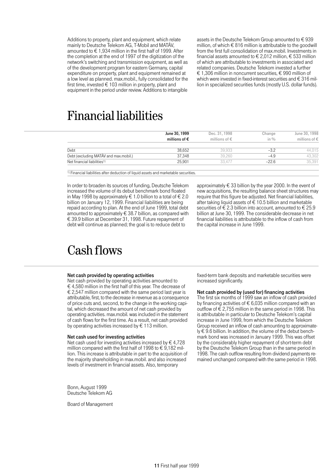Additions to property, plant and equipment, which relate mainly to Deutsche Telekom AG, T-Mobil and MATÁV, amounted to  $\epsilon$  1.934 million in the first half of 1999. After the completion at the end of 1997 of the digitization of the network's switching and transmission equipment, as well as of the development program for eastern Germany, capital expenditure on property, plant and equipment remained at a low level as planned. max.mobil., fully consolidated for the first time, invested  $\epsilon$  103 million in property, plant and equipment in the period under review. Additions to intangible

assets in the Deutsche Telekom Group amounted to € 939 million, of which  $\epsilon$  816 million is attributable to the goodwill from the first full consolidation of max.mobil. Investments in financial assets amounted to  $\epsilon$  2,012 million,  $\epsilon$  533 million of which are attributable to investments in associated and related companies. Deutsche Telekom invested a further € 1,306 million in noncurrent securities, € 990 million of which were invested in fixed-interest securities and € 316 million in specialized securities funds (mostly U.S. dollar funds).

### Financial liabilities

|                                         | June 30, 1999          | Dec. 31, 1998          | Change  | June 30, 1998          |
|-----------------------------------------|------------------------|------------------------|---------|------------------------|
|                                         | millions of $\epsilon$ | millions of $\epsilon$ | in $\%$ | millions of $\epsilon$ |
| Debt                                    | 38.652                 | 39.933                 | $-3.2$  | 44.015                 |
| Debt (excluding MATÁV and max.mobil.)   | 37.348                 | 39.260                 | $-4.9$  | 43,302                 |
| Net financial liabilities <sup>1)</sup> | 25.901                 | 33.477                 | $-22.6$ | 35.391                 |

 $\overline{1}$ ) Financial liabilities after deduction of liquid assets and marketable securities.

In order to broaden its sources of funding, Deutsche Telekom increased the volume of its debut benchmark bond floated in May 1998 by approximately € 1.0 billion to a total of € 2.0 billion on January 12, 1999. Financial liabilities are being repaid according to plan. At the end of June 1999, total debt amounted to approximately  $\epsilon$  38.7 billion, as compared with € 39.9 billion at December 31, 1998. Future repayment of debt will continue as planned; the goal is to reduce debt to

#### new acquisitions, the resulting balance sheet structures may require that this figure be adjusted. Net financial liabilities, after taking liquid assets of  $\epsilon$  10.5 billion and marketable securities of  $\epsilon$  2.3 billion into account, amounted to  $\epsilon$  25.9 billion at June 30, 1999. The considerable decrease in net financial liabilities is attributable to the inflow of cash from the capital increase in June 1999.

approximately  $\epsilon$  33 billion by the year 2000. In the event of

### Cash flows

#### Net cash provided by operating activities

Net cash provided by operating activities amounted to  $\epsilon$  4,580 million in the first half of this year. The decrease of  $\epsilon$  2.547 million compared with the same period last year is attributable, first, to the decrease in revenue as a consequence of price cuts and, second, to the change in the working capital, which decreased the amount of net cash provided by operating activities. max.mobil. was included in the statement of cash flows for the first time. As a result, net cash provided by operating activities increased by  $\epsilon$  113 million.

#### Net cash used for investing activities

Net cash used for investing activities increased by  $\epsilon$  4,728 million compared with the first half of 1998 to  $\in$  9,182 million. This increase is attributable in part to the acquisition of the majority shareholding in max.mobil. and also increased levels of investment in financial assets. Also, temporary

Bonn, August 1999 Deutsche Telekom AG

Board of Management

fixed-term bank deposits and marketable securities were increased significantly.

#### Net cash provided by (used for) financing activities

The first six months of 1999 saw an inflow of cash provided by financing activities of  $\epsilon$  6,035 million compared with an outflow of  $\epsilon$  2,755 million in the same period in 1998. This is attributable in particular to Deutsche Telekom's capital increase in June 1999, from which the Deutsche Telekom Group received an inflow of cash amounting to approximately € 9.6 billion. In addition, the volume of the debut benchmark bond was increased in January 1999. This was offset by the considerably higher repayment of short-term debt by the Deutsche Telekom Group than in the same period in 1998. The cash outflow resulting from dividend payments remained unchanged compared with the same period in 1998.